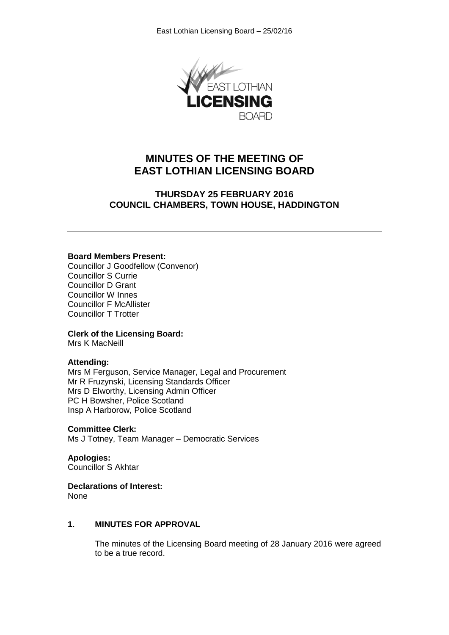

# **MINUTES OF THE MEETING OF EAST LOTHIAN LICENSING BOARD**

# **THURSDAY 25 FEBRUARY 2016 COUNCIL CHAMBERS, TOWN HOUSE, HADDINGTON**

#### **Board Members Present:**

Councillor J Goodfellow (Convenor) Councillor S Currie Councillor D Grant Councillor W Innes Councillor F McAllister Councillor T Trotter

#### **Clerk of the Licensing Board:**

Mrs K MacNeill

#### **Attending:**

Mrs M Ferguson, Service Manager, Legal and Procurement Mr R Fruzynski, Licensing Standards Officer Mrs D Elworthy, Licensing Admin Officer PC H Bowsher, Police Scotland Insp A Harborow, Police Scotland

#### **Committee Clerk:**

Ms J Totney, Team Manager – Democratic Services

**Apologies:** Councillor S Akhtar

#### **Declarations of Interest:**

None

#### **1. MINUTES FOR APPROVAL**

The minutes of the Licensing Board meeting of 28 January 2016 were agreed to be a true record.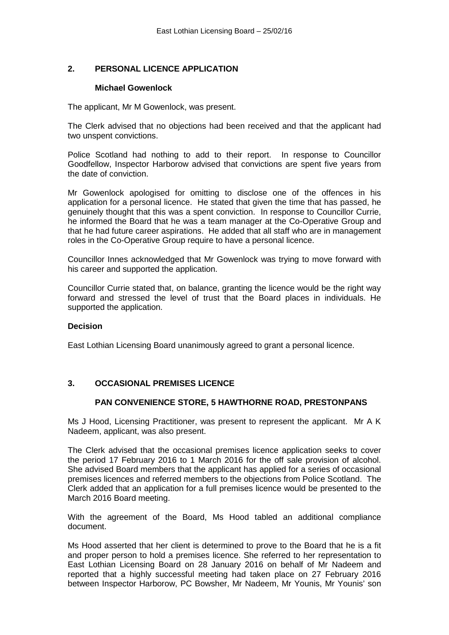# **2. PERSONAL LICENCE APPLICATION**

#### **Michael Gowenlock**

The applicant, Mr M Gowenlock, was present.

The Clerk advised that no objections had been received and that the applicant had two unspent convictions.

Police Scotland had nothing to add to their report. In response to Councillor Goodfellow, Inspector Harborow advised that convictions are spent five years from the date of conviction.

Mr Gowenlock apologised for omitting to disclose one of the offences in his application for a personal licence. He stated that given the time that has passed, he genuinely thought that this was a spent conviction. In response to Councillor Currie, he informed the Board that he was a team manager at the Co-Operative Group and that he had future career aspirations. He added that all staff who are in management roles in the Co-Operative Group require to have a personal licence.

Councillor Innes acknowledged that Mr Gowenlock was trying to move forward with his career and supported the application.

Councillor Currie stated that, on balance, granting the licence would be the right way forward and stressed the level of trust that the Board places in individuals. He supported the application.

#### **Decision**

East Lothian Licensing Board unanimously agreed to grant a personal licence.

## **3. OCCASIONAL PREMISES LICENCE**

## **PAN CONVENIENCE STORE, 5 HAWTHORNE ROAD, PRESTONPANS**

Ms J Hood, Licensing Practitioner, was present to represent the applicant. Mr A K Nadeem, applicant, was also present.

The Clerk advised that the occasional premises licence application seeks to cover the period 17 February 2016 to 1 March 2016 for the off sale provision of alcohol. She advised Board members that the applicant has applied for a series of occasional premises licences and referred members to the objections from Police Scotland. The Clerk added that an application for a full premises licence would be presented to the March 2016 Board meeting.

With the agreement of the Board, Ms Hood tabled an additional compliance document.

Ms Hood asserted that her client is determined to prove to the Board that he is a fit and proper person to hold a premises licence. She referred to her representation to East Lothian Licensing Board on 28 January 2016 on behalf of Mr Nadeem and reported that a highly successful meeting had taken place on 27 February 2016 between Inspector Harborow, PC Bowsher, Mr Nadeem, Mr Younis, Mr Younis' son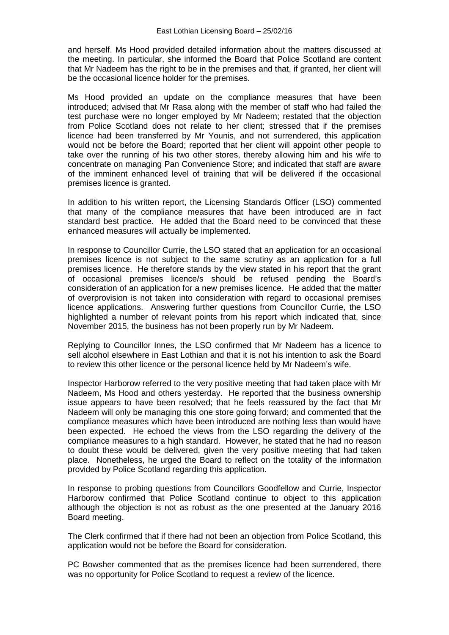and herself. Ms Hood provided detailed information about the matters discussed at the meeting. In particular, she informed the Board that Police Scotland are content that Mr Nadeem has the right to be in the premises and that, if granted, her client will be the occasional licence holder for the premises.

Ms Hood provided an update on the compliance measures that have been introduced; advised that Mr Rasa along with the member of staff who had failed the test purchase were no longer employed by Mr Nadeem; restated that the objection from Police Scotland does not relate to her client; stressed that if the premises licence had been transferred by Mr Younis, and not surrendered, this application would not be before the Board; reported that her client will appoint other people to take over the running of his two other stores, thereby allowing him and his wife to concentrate on managing Pan Convenience Store; and indicated that staff are aware of the imminent enhanced level of training that will be delivered if the occasional premises licence is granted.

In addition to his written report, the Licensing Standards Officer (LSO) commented that many of the compliance measures that have been introduced are in fact standard best practice. He added that the Board need to be convinced that these enhanced measures will actually be implemented.

In response to Councillor Currie, the LSO stated that an application for an occasional premises licence is not subject to the same scrutiny as an application for a full premises licence. He therefore stands by the view stated in his report that the grant of occasional premises licence/s should be refused pending the Board's consideration of an application for a new premises licence. He added that the matter of overprovision is not taken into consideration with regard to occasional premises licence applications. Answering further questions from Councillor Currie, the LSO highlighted a number of relevant points from his report which indicated that, since November 2015, the business has not been properly run by Mr Nadeem.

Replying to Councillor Innes, the LSO confirmed that Mr Nadeem has a licence to sell alcohol elsewhere in East Lothian and that it is not his intention to ask the Board to review this other licence or the personal licence held by Mr Nadeem's wife.

Inspector Harborow referred to the very positive meeting that had taken place with Mr Nadeem, Ms Hood and others yesterday. He reported that the business ownership issue appears to have been resolved; that he feels reassured by the fact that Mr Nadeem will only be managing this one store going forward; and commented that the compliance measures which have been introduced are nothing less than would have been expected. He echoed the views from the LSO regarding the delivery of the compliance measures to a high standard. However, he stated that he had no reason to doubt these would be delivered, given the very positive meeting that had taken place. Nonetheless, he urged the Board to reflect on the totality of the information provided by Police Scotland regarding this application.

In response to probing questions from Councillors Goodfellow and Currie, Inspector Harborow confirmed that Police Scotland continue to object to this application although the objection is not as robust as the one presented at the January 2016 Board meeting.

The Clerk confirmed that if there had not been an objection from Police Scotland, this application would not be before the Board for consideration.

PC Bowsher commented that as the premises licence had been surrendered, there was no opportunity for Police Scotland to request a review of the licence.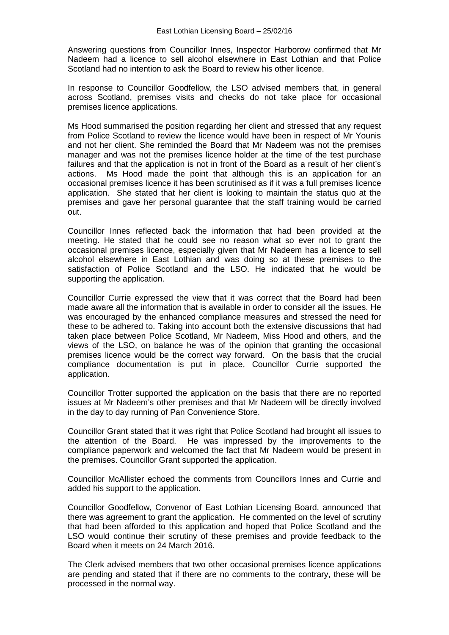Answering questions from Councillor Innes, Inspector Harborow confirmed that Mr Nadeem had a licence to sell alcohol elsewhere in East Lothian and that Police Scotland had no intention to ask the Board to review his other licence.

In response to Councillor Goodfellow, the LSO advised members that, in general across Scotland, premises visits and checks do not take place for occasional premises licence applications.

Ms Hood summarised the position regarding her client and stressed that any request from Police Scotland to review the licence would have been in respect of Mr Younis and not her client. She reminded the Board that Mr Nadeem was not the premises manager and was not the premises licence holder at the time of the test purchase failures and that the application is not in front of the Board as a result of her client's actions. Ms Hood made the point that although this is an application for an occasional premises licence it has been scrutinised as if it was a full premises licence application. She stated that her client is looking to maintain the status quo at the premises and gave her personal guarantee that the staff training would be carried out.

Councillor Innes reflected back the information that had been provided at the meeting. He stated that he could see no reason what so ever not to grant the occasional premises licence, especially given that Mr Nadeem has a licence to sell alcohol elsewhere in East Lothian and was doing so at these premises to the satisfaction of Police Scotland and the LSO. He indicated that he would be supporting the application.

Councillor Currie expressed the view that it was correct that the Board had been made aware all the information that is available in order to consider all the issues. He was encouraged by the enhanced compliance measures and stressed the need for these to be adhered to. Taking into account both the extensive discussions that had taken place between Police Scotland, Mr Nadeem, Miss Hood and others, and the views of the LSO, on balance he was of the opinion that granting the occasional premises licence would be the correct way forward. On the basis that the crucial compliance documentation is put in place, Councillor Currie supported the application.

Councillor Trotter supported the application on the basis that there are no reported issues at Mr Nadeem's other premises and that Mr Nadeem will be directly involved in the day to day running of Pan Convenience Store.

Councillor Grant stated that it was right that Police Scotland had brought all issues to the attention of the Board. He was impressed by the improvements to the compliance paperwork and welcomed the fact that Mr Nadeem would be present in the premises. Councillor Grant supported the application.

Councillor McAllister echoed the comments from Councillors Innes and Currie and added his support to the application.

Councillor Goodfellow, Convenor of East Lothian Licensing Board, announced that there was agreement to grant the application. He commented on the level of scrutiny that had been afforded to this application and hoped that Police Scotland and the LSO would continue their scrutiny of these premises and provide feedback to the Board when it meets on 24 March 2016.

The Clerk advised members that two other occasional premises licence applications are pending and stated that if there are no comments to the contrary, these will be processed in the normal way.